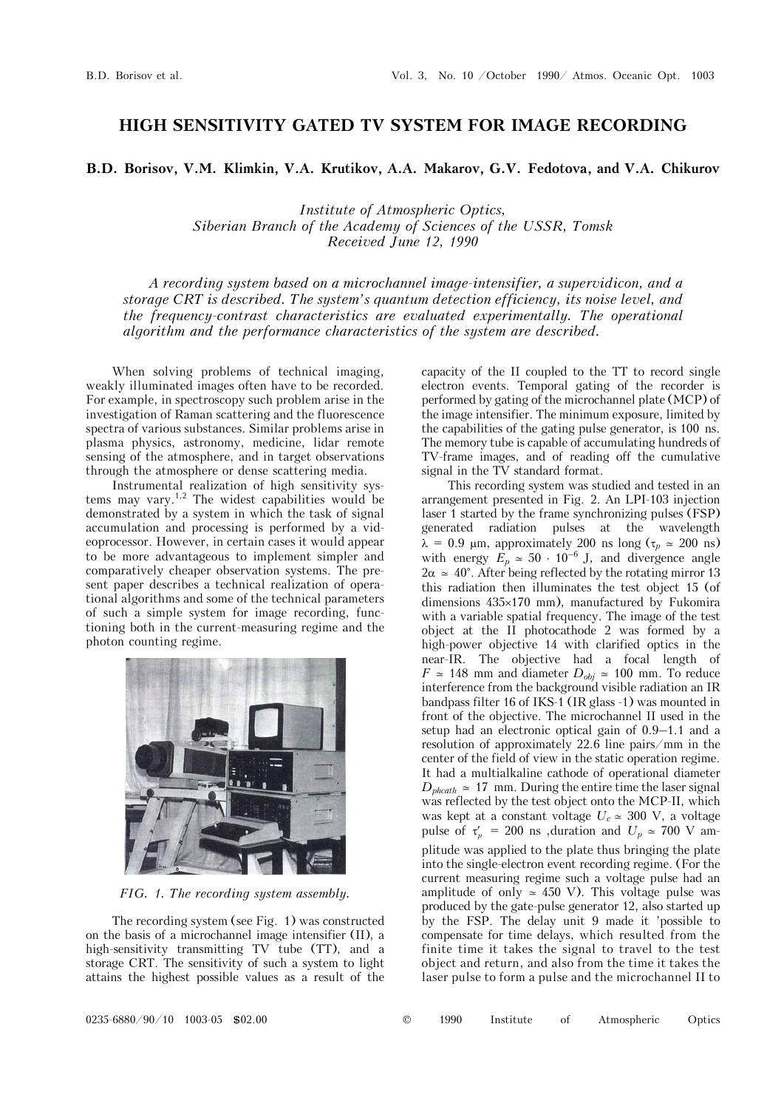## **HIGH SENSITIVITY GATED TV SYSTEM FOR IMAGE RECORDING**

## **B.D. Borisov, V.M. Klimkin, V.A. Krutikov, A.A. Makarov, G.V. Fedotova, and V.A. Chikurov**

*Institute of Atmospheric Optics, Siberian Branch of the Academy of Sciences of the USSR, Tomsk Received June 12, 1990* 

*A recording system based on a microchannel image-intensifier, a supervidicon, and a storage CRT is described. The system's quantum detection efficiency, its noise level, and the frequency-contrast characteristics are evaluated experimentally. The operational algorithm and the performance characteristics of the system are described.* 

When solving problems of technical imaging, weakly illuminated images often have to be recorded. For example, in spectroscopy such problem arise in the investigation of Raman scattering and the fluorescence spectra of various substances. Similar problems arise in plasma physics, astronomy, medicine, lidar remote sensing of the atmosphere, and in target observations through the atmosphere or dense scattering media.

Instrumental realization of high sensitivity systems may vary.<sup>1,2</sup> The widest capabilities would be demonstrated by a system in which the task of signal accumulation and processing is performed by a videoprocessor. However, in certain cases it would appear to be more advantageous to implement simpler and comparatively cheaper observation systems. The present paper describes a technical realization of operational algorithms and some of the technical parameters of such a simple system for image recording, functioning both in the current-measuring regime and the photon counting regime.



*FIG. 1. The recording system assembly.* 

The recording system (see Fig. 1) was constructed on the basis of a microchannel image intensifier (II), a high-sensitivity transmitting TV tube (TT), and a storage CRT. The sensitivity of such a system to light attains the highest possible values as a result of the capacity of the II coupled to the TT to record single electron events. Temporal gating of the recorder is performed by gating of the microchannel plate (MCP) of the image intensifier. The minimum exposure, limited by the capabilities of the gating pulse generator, is 100 ns. The memory tube is capable of accumulating hundreds of TV-frame images, and of reading off the cumulative signal in the TV standard format.

This recording system was studied and tested in an arrangement presented in Fig. 2. An LPI-103 injection laser 1 started by the frame synchronizing pulses (FSP) generated radiation pulses at the wavelength  $\lambda = 0.9$  µm, approximately 200 ns long ( $\tau_p \approx 200$  ns) with energy  $E_p \approx 50 \cdot 10^{-6}$  J, and divergence angle  $2\alpha \approx 40^{\circ}$ . After being reflected by the rotating mirror 13 this radiation then illuminates the test object 15 (of dimensions  $435\times170$  mm), manufactured by Fukomira with a variable spatial frequency. The image of the test object at the II photocathode 2 was formed by a high-power objective 14 with clarified optics in the near-IR. The objective had a focal length of  $F \approx 148$  mm and diameter  $D_{obj} \approx 100$  mm. To reduce interference from the background visible radiation an IR bandpass filter 16 of IKS-1 (IR glass -1) was mounted in front of the objective. The microchannel II used in the setup had an electronic optical gain of 0.9–1.1 and a resolution of approximately 22.6 line pairs/mm in the center of the field of view in the static operation regime. It had a multialkaline cathode of operational diameter  $D_{\text{phcath}} \approx 17 \text{ mm}$ . During the entire time the laser signal was reflected by the test object onto the MCP-II, which was kept at a constant voltage  $U_c \simeq 300$  V, a voltage pulse of  $\tau_p' = 200$  ns ,duration and  $U_p \approx 700$  V amplitude was applied to the plate thus bringing the plate into the single-electron event recording regime. (For the current measuring regime such a voltage pulse had an amplitude of only  $\simeq$  450 V). This voltage pulse was produced by the gate-pulse generator 12, also started up by the FSP. The delay unit 9 made it 'possible to compensate for time delays, which resulted from the finite time it takes the signal to travel to the test object and return, and also from the time it takes the laser pulse to form a pulse and the microchannel II to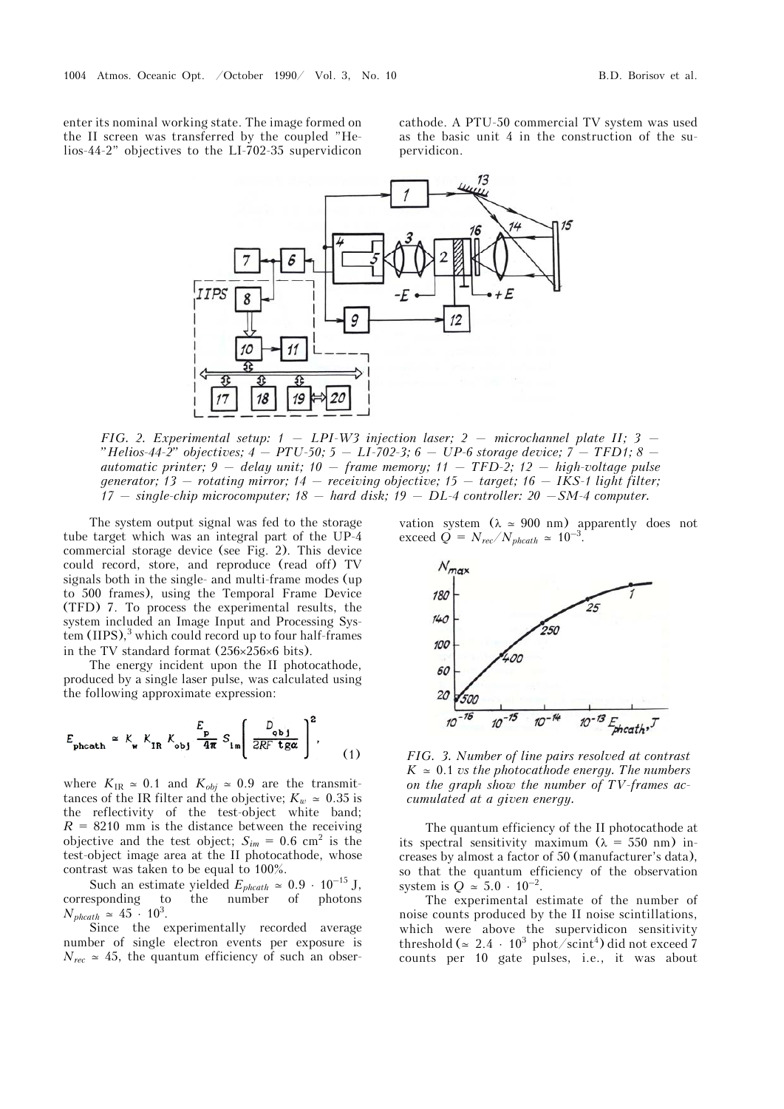enter its nominal working state. The image formed on the II screen was transferred by the coupled "Helios-44-2" objectives to the LI-702-35 supervidicon

cathode. A PTU-50 commercial TV system was used as the basic unit 4 in the construction of the supervidicon.



*FIG. 2. Experimental setup: 1 — LPI-W3 injection laser; 2 — microchannel plate II; 3 — "Helios-44-2" objectives; 4 — PTU-50; 5 — LI-702-3; 6 — UP-6 storage device; 7 — TFD1; 8 automatic printer; 9 — delay unit; 10 — frame memory; 11 — TFD-2; 12 — high-voltage pulse generator; 13 — rotating mirror; 14 — receiving objective; 15 — target; 16 — IKS-1 light filter; 17 — single-chip microcomputer; 18 — hard disk; 19 — DL-4 controller: 20 —SM-4 computer.*

The system output signal was fed to the storage tube target which was an integral part of the UP-4 commercial storage device (see Fig. 2). This device could record, store, and reproduce (read off) TV signals both in the single- and multi-frame modes (up to 500 frames), using the Temporal Frame Device (TFD) 7. To process the experimental results, the system included an Image Input and Processing Sys $tem (IIPS),<sup>3</sup>$  which could record up to four half-frames in the TV standard format  $(256\times256\times6)$  bits).

The energy incident upon the II photocathode, produced by a single laser pulse, was calculated using the following approximate expression:

$$
E_{\text{phcath}} \simeq K_{\text{w}} K_{\text{IR}} K_{\text{obj}} \frac{E_{\text{p}}}{4\pi} S_{\text{Im}} \left( \frac{D_{\text{obj}}}{2RF \text{ tga}} \right)^2, \tag{1}
$$

where  $K_{IR} \approx 0.1$  and  $K_{obj} \approx 0.9$  are the transmittances of the IR filter and the objective;  $K_w \approx 0.35$  is the reflectivity of the test-object white band;  $R = 8210$  mm is the distance between the receiving objective and the test object;  $S_{im} = 0.6$  cm<sup>2</sup> is the test-object image area at the II photocathode, whose contrast was taken to be equal to 100%.

Such an estimate yielded  $E_{phcath} \approx 0.9 \cdot 10^{-15}$  J,<br>esponding to the number of photons corresponding to  $N_{\text{phcath}} \simeq 45 \cdot 10^3$ .

Since the experimentally recorded average number of single electron events per exposure is  $N_{rec} \approx 45$ , the quantum efficiency of such an observation system  $(\lambda \approx 900 \text{ nm})$  apparently does not exceed  $\dot{Q} = N_{rec} / N_{phcath} \simeq 10^{-3}$ .



*FIG. 3. Number of line pairs resolved at contrast*   $K \approx 0.1$  *vs the photocathode energy. The numbers on the graph show the number of TV-frames accumulated at a given energy.*

The quantum efficiency of the II photocathode at its spectral sensitivity maximum  $(\lambda = 550 \text{ nm})$  increases by almost a factor of 50 (manufacturer's data), so that the quantum efficiency of the observation system is  $Q \approx 5.0 \cdot 10^{-2}$ .

The experimental estimate of the number of noise counts produced by the II noise scintillations, which were above the supervidicon sensitivity threshold ( $\simeq 2.4\,\cdot\,10^3\,\,\mathrm{phot/scint}^4$ ) did not exceed 7 counts per 10 gate pulses, i.e., it was about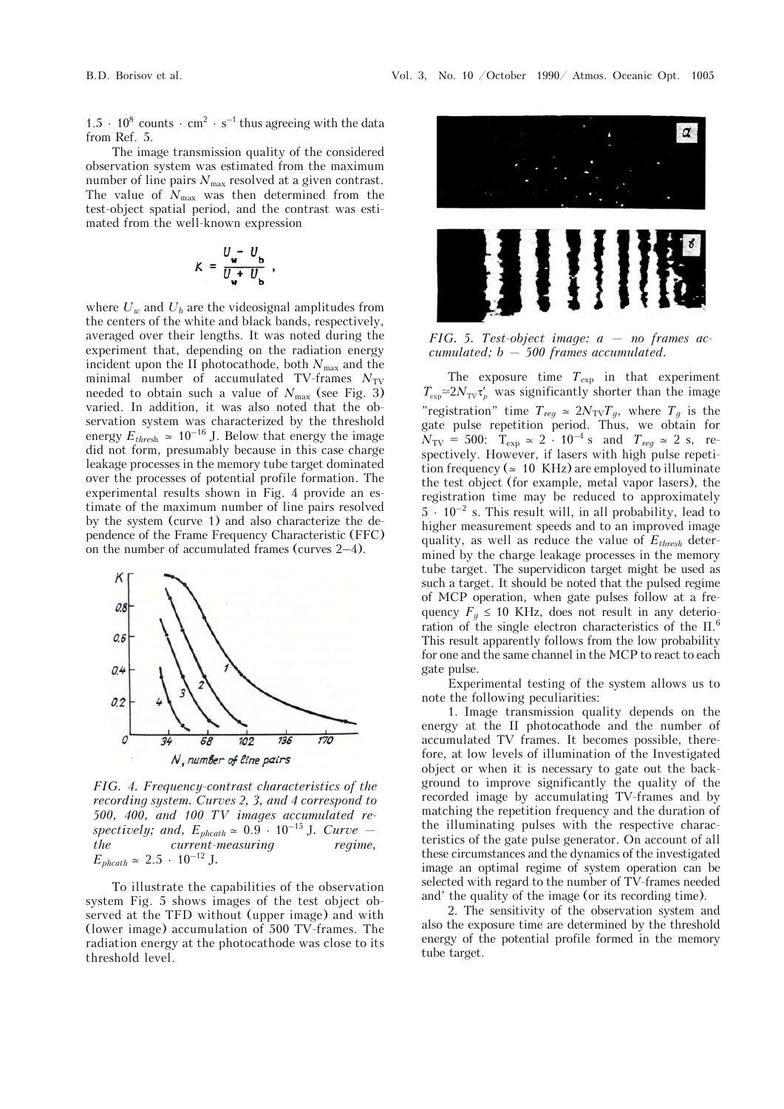$1.5 \cdot 10^8$  counts  $\cdot$  cm<sup>2</sup>  $\cdot$  s<sup>-1</sup> thus agreeing with the data from Ref. 5.

The image transmission quality of the considered observation system was estimated from the maximum number of line pairs  $N_{\text{max}}$  resolved at a given contrast. The value of  $N_{\text{max}}$  was then determined from the test-object spatial period, and the contrast was estimated from the well-known expression

$$
K = \frac{U - U_{\rm b}}{U + U_{\rm b}} ,
$$

where  $U_w$  and  $U_b$  are the videosignal amplitudes from the centers of the white and black bands, respectively, averaged over their lengths. It was noted during the experiment that, depending on the radiation energy incident upon the II photocathode, both  $N_{\text{max}}$  and the minimal number of accumulated TV-frames  $N_{\text{TV}}$ needed to obtain such a value of  $N_{\text{max}}$  (see Fig. 3) varied. In addition, it was also noted that the observation system was characterized by the threshold energy  $E_{\text{thresh}} \approx 10^{-16}$  J. Below that energy the image did not form, presumably because in this case charge leakage processes in the memory tube target dominated over the processes of potential profile formation. The experimental results shown in Fig. 4 provide an estimate of the maximum number of line pairs resolved by the system (curve 1) and also characterize the dependence of the Frame Frequency Characteristic (FFC) on the number of accumulated frames (curves 2–4).



*FIG. 4. Frequency-contrast characteristics of the recording system. Curves 2, 3, and 4 correspond to 500, 400, and 100 TV images accumulated respectively; and,*  $E_{\text{ph} \text{cath}} \approx 0.9 \cdot 10^{-15}$  J. Curve – *the current-measuring regime,*  $E_{\text{phcath}} \simeq 2.5 \cdot 10^{-12}$  J.

To illustrate the capabilities of the observation system Fig. 5 shows images of the test object observed at the TFD without (upper image) and with (lower image) accumulation of 500 TV-frames. The radiation energy at the photocathode was close to its threshold level.



*FIG. 5. Test-object image: a — no frames accumulated; b — 500 frames accumulated.*

The exposure time *T*exp in that experiment  $T_{\exp} \simeq 2N_{\text{TV}} \tau_p'$  was significantly shorter than the image "registration" time  $T_{reg} \approx 2N_{\text{TV}}T_g$ , where  $T_g$  is the gate pulse repetition period. Thus, we obtain for  $N_{\rm TV} = 500$ :  $T_{\rm exp} \approx 2 \cdot 10^{-4}$  s and  $T_{reg} \approx 2$  s, respectively. However, if lasers with high pulse repetition frequency ( $\simeq$  10 KHz) are employed to illuminate the test object (for example, metal vapor lasers), the registration time may be reduced to approximately  $5 \cdot 10^{-2}$  s. This result will, in all probability, lead to higher measurement speeds and to an improved image quality, as well as reduce the value of *Ethresh* determined by the charge leakage processes in the memory tube target. The supervidicon target might be used as such a target. It should be noted that the pulsed regime of MCP operation, when gate pulses follow at a frequency  $F_g \leq 10$  KHz, does not result in any deterioration of the single electron characteristics of the II.6 This result apparently follows from the low probability for one and the same channel in the MCP to react to each gate pulse.

Experimental testing of the system allows us to note the following peculiarities:

1. Image transmission quality depends on the energy at the II photocathode and the number of accumulated TV frames. It becomes possible, therefore, at low levels of illumination of the Investigated object or when it is necessary to gate out the background to improve significantly the quality of the recorded image by accumulating TV-frames and by matching the repetition frequency and the duration of the illuminating pulses with the respective characteristics of the gate pulse generator. On account of all these circumstances and the dynamics of the investigated image an optimal regime of system operation can be selected with regard to the number of TV-frames needed and' the quality of the image (or its recording time).

2. The sensitivity of the observation system and also the exposure time are determined by the threshold energy of the potential profile formed in the memory tube target.